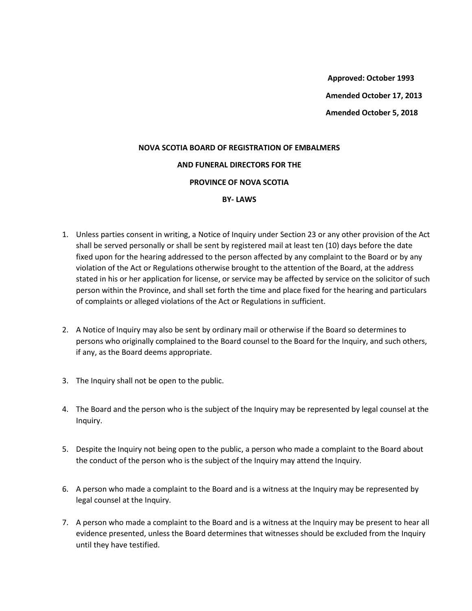**Approved: October 1993 Amended October 17, 2013 Amended October 5, 2018**

## **NOVA SCOTIA BOARD OF REGISTRATION OF EMBALMERS AND FUNERAL DIRECTORS FOR THE PROVINCE OF NOVA SCOTIA BY- LAWS**

- 1. Unless parties consent in writing, a Notice of Inquiry under Section 23 or any other provision of the Act shall be served personally or shall be sent by registered mail at least ten (10) days before the date fixed upon for the hearing addressed to the person affected by any complaint to the Board or by any violation of the Act or Regulations otherwise brought to the attention of the Board, at the address stated in his or her application for license, or service may be affected by service on the solicitor of such person within the Province, and shall set forth the time and place fixed for the hearing and particulars of complaints or alleged violations of the Act or Regulations in sufficient.
- 2. A Notice of Inquiry may also be sent by ordinary mail or otherwise if the Board so determines to persons who originally complained to the Board counsel to the Board for the Inquiry, and such others, if any, as the Board deems appropriate.
- 3. The Inquiry shall not be open to the public.
- 4. The Board and the person who is the subject of the Inquiry may be represented by legal counsel at the Inquiry.
- 5. Despite the Inquiry not being open to the public, a person who made a complaint to the Board about the conduct of the person who is the subject of the Inquiry may attend the Inquiry.
- 6. A person who made a complaint to the Board and is a witness at the Inquiry may be represented by legal counsel at the Inquiry.
- 7. A person who made a complaint to the Board and is a witness at the Inquiry may be present to hear all evidence presented, unless the Board determines that witnesses should be excluded from the Inquiry until they have testified.